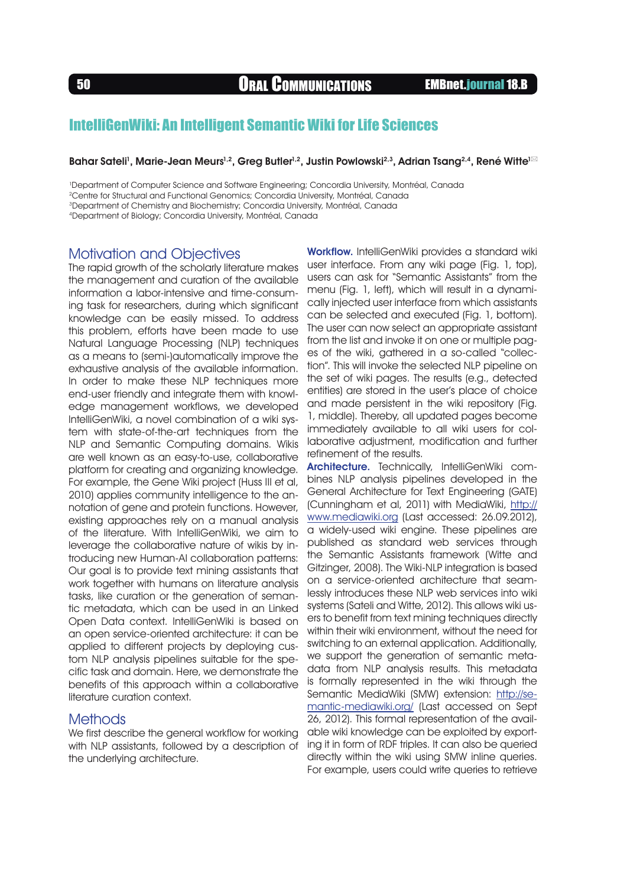<sup>50</sup> Oral Communications EMBnet.journal 18.B

# IntelliGenWiki: An Intelligent Semantic Wiki for Life Sciences

## Bahar Sateli<sup>1</sup>, Marie-Jean Meurs<sup>1,2</sup>, Greg Butler<sup>1,2</sup>, Justin Powlowski<sup>2,3</sup>, Adrian Tsang<sup>2,4</sup>, René Witte<sup>1⊠</sup>

1 Department of Computer Science and Software Engineering; Concordia University, Montréal, Canada

2Centre for Structural and Functional Genomics; Concordia University, Montréal, Canada

3Department of Chemistry and Biochemistry; Concordia University, Montréal, Canada

4Department of Biology; Concordia University, Montréal, Canada

## Motivation and Objectives

The rapid growth of the scholarly literature makes the management and curation of the available information a labor-intensive and time-consuming task for researchers, during which significant knowledge can be easily missed. To address this problem, efforts have been made to use Natural Language Processing (NLP) techniques as a means to (semi-)automatically improve the exhaustive analysis of the available information. In order to make these NLP techniques more end-user friendly and integrate them with knowledge management workflows, we developed IntelliGenWiki, a novel combination of a wiki system with state-of-the-art techniques from the NLP and Semantic Computing domains. Wikis are well known as an easy-to-use, collaborative platform for creating and organizing knowledge. For example, the Gene Wiki project (Huss III et al, 2010) applies community intelligence to the annotation of gene and protein functions. However, existing approaches rely on a manual analysis of the literature. With IntelliGenWiki, we aim to leverage the collaborative nature of wikis by introducing new Human-AI collaboration patterns: Our goal is to provide text mining assistants that work together with humans on literature analysis tasks, like curation or the generation of semantic metadata, which can be used in an Linked Open Data context. IntelliGenWiki is based on an open service-oriented architecture: it can be applied to different projects by deploying custom NLP analysis pipelines suitable for the specific task and domain. Here, we demonstrate the benefits of this approach within a collaborative literature curation context.

# **Methods**

We first describe the general workflow for working with NLP assistants, followed by a description of the underlying architecture.

Workflow. IntelliGenWiki provides a standard wiki user interface. From any wiki page (Fig. 1, top), users can ask for "Semantic Assistants" from the menu (Fig. 1, left), which will result in a dynamically injected user interface from which assistants can be selected and executed (Fig. 1, bottom). The user can now select an appropriate assistant from the list and invoke it on one or multiple pages of the wiki, gathered in a so-called "collection". This will invoke the selected NLP pipeline on the set of wiki pages. The results (e.g., detected entities) are stored in the user's place of choice and made persistent in the wiki repository (Fig. 1, middle). Thereby, all updated pages become immediately available to all wiki users for collaborative adjustment, modification and further refinement of the results.

Architecture. Technically, IntelliGenWiki combines NLP analysis pipelines developed in the General Architecture for Text Engineering (GATE) (Cunningham et al, 2011) with MediaWiki, [http://](http://www.mediawiki.org) [www.mediawiki.org](http://www.mediawiki.org) (Last accessed: 26.09.2012), a widely-used wiki engine. These pipelines are published as standard web services through the Semantic Assistants framework (Witte and Gitzinger, 2008). The Wiki-NLP integration is based on a service-oriented architecture that seamlessly introduces these NLP web services into wiki systems (Sateli and Witte, 2012). This allows wiki users to benefit from text mining techniques directly within their wiki environment, without the need for switching to an external application. Additionally, we support the generation of semantic metadata from NLP analysis results. This metadata is formally represented in the wiki through the Semantic MediaWiki (SMW) extension: [http://se](http://semantic-mediawiki.org/)[mantic-mediawiki.org/](http://semantic-mediawiki.org/) (Last accessed on Sept 26, 2012). This formal representation of the available wiki knowledge can be exploited by exporting it in form of RDF triples. It can also be queried directly within the wiki using SMW inline queries. For example, users could write queries to retrieve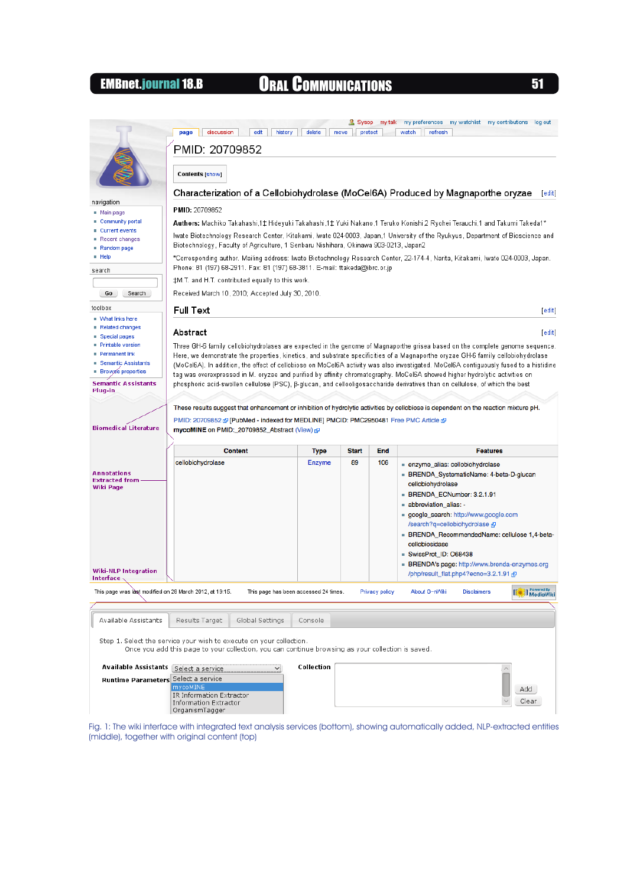# EMBnet.journal 18.B CORAL COMMUNICATIONS 51

|                                                         |                                                                                                                                                                          |                                       | & Sysop      | my talk        | my preferences<br>my watchlist my contributions log out                                                                                                                                                                                                                   |
|---------------------------------------------------------|--------------------------------------------------------------------------------------------------------------------------------------------------------------------------|---------------------------------------|--------------|----------------|---------------------------------------------------------------------------------------------------------------------------------------------------------------------------------------------------------------------------------------------------------------------------|
|                                                         | discussion<br>edit<br>history<br>page<br>PMID: 20709852                                                                                                                  | delete                                | move         | protect        | watch<br>refresh                                                                                                                                                                                                                                                          |
|                                                         | Contents [show]                                                                                                                                                          |                                       |              |                |                                                                                                                                                                                                                                                                           |
|                                                         |                                                                                                                                                                          |                                       |              |                | Characterization of a Cellobiohydrolase (MoCel6A) Produced by Magnaporthe oryzae<br>[edit]                                                                                                                                                                                |
| navigation                                              |                                                                                                                                                                          |                                       |              |                |                                                                                                                                                                                                                                                                           |
| $\blacksquare$ Main page                                | PMID: 20709852                                                                                                                                                           |                                       |              |                |                                                                                                                                                                                                                                                                           |
| Community portal                                        | Authors: Machiko Takahashi,1‡ Hideyuki Takahashi,1‡ Yuki Nakano,1 Teruko Konishi,2 Ryohei Terauchi,1 and Takumi Takeda1*                                                 |                                       |              |                |                                                                                                                                                                                                                                                                           |
| ■ Current events<br>Recent changes                      | lwate Biotechnology Research Center, Kitakami, Iwate 024-0003, Japan,1 University of the Ryukyus, Department of Bioscience and                                           |                                       |              |                |                                                                                                                                                                                                                                                                           |
| $R$ andom page                                          | Biotechnology, Faculty of Agriculture, 1 Senbaru Nishihara, Okinawa 903-0213, Japan2                                                                                     |                                       |              |                |                                                                                                                                                                                                                                                                           |
| $=$ Help                                                |                                                                                                                                                                          |                                       |              |                | *Corresponding author. Mailing address: Iwate Biotechnology Research Center, 22-174-4, Narita, Kitakami, Iwate 024-0003, Japan.                                                                                                                                           |
| search                                                  | Phone: 81 (197) 68-2911. Fax: 81 (197) 68-3811. E-mail: ttakeda@ibrc.or.jp                                                                                               |                                       |              |                |                                                                                                                                                                                                                                                                           |
|                                                         | ‡M.T. and H.T. contributed equally to this work.                                                                                                                         |                                       |              |                |                                                                                                                                                                                                                                                                           |
| Go<br>Search                                            | Received March 10, 2010; Accepted July 30, 2010.                                                                                                                         |                                       |              |                |                                                                                                                                                                                                                                                                           |
| toolbox                                                 |                                                                                                                                                                          |                                       |              |                |                                                                                                                                                                                                                                                                           |
| ■ What links here                                       | Full Text                                                                                                                                                                |                                       |              |                | [edit]                                                                                                                                                                                                                                                                    |
| Related changes                                         | Abstract                                                                                                                                                                 |                                       |              |                |                                                                                                                                                                                                                                                                           |
| ■ Special pages                                         |                                                                                                                                                                          |                                       |              |                | [edit]                                                                                                                                                                                                                                                                    |
| $\blacksquare$ Printable version<br>Permanent link      |                                                                                                                                                                          |                                       |              |                | Three GH-6 family cellobiohydrolases are expected in the genome of Magnaporthe grisea based on the complete genome sequence.                                                                                                                                              |
| ■ Semantic Assistants                                   |                                                                                                                                                                          |                                       |              |                | Here, we demonstrate the properties, kinetics, and substrate specificities of a Magnaporthe oryzae GH-6 family cellobiohydrolase<br>(MoCel6A). In addition, the effect of cellobiose on MoCel6A activity was also investigated. MoCel6A contiguously fused to a histidine |
| <b>Browse</b> properties                                |                                                                                                                                                                          |                                       |              |                | tag was overexpressed in M. oryzae and purified by affinity chromatography. MoCel6A showed higher hydrolytic activities on                                                                                                                                                |
| <b>Semantic Assistants</b><br>Plug-in                   |                                                                                                                                                                          |                                       |              |                | phosphoric acid-swollen cellulose (PSC), β-glucan, and cellooligosaccharide derivatives than on cellulose, of which the best                                                                                                                                              |
| <b>Biomedical Literature</b>                            | PMID: 20709852 @ [PubMed - indexed for MEDLINE] PMCID: PMC2950481 Free PMC Article @<br>mycoMINE on PMID: 20709852_Abstract (View) &<br><b>Content</b>                   | <b>Type</b>                           | <b>Start</b> | End            | <b>Features</b>                                                                                                                                                                                                                                                           |
|                                                         | cellobiohydrolase                                                                                                                                                        | Enzyme                                | 89           | 106            |                                                                                                                                                                                                                                                                           |
| <b>Annotations</b>                                      |                                                                                                                                                                          |                                       |              |                | enzyme_alias: cellobiohydrolase<br>BRENDA_SystematicName: 4-beta-D-glucan                                                                                                                                                                                                 |
| <b>Extracted from</b>                                   |                                                                                                                                                                          |                                       |              |                | cellobiohydrolase                                                                                                                                                                                                                                                         |
| Wiki Page                                               |                                                                                                                                                                          |                                       |              |                | BRENDA_ECNumber: 3.2.1.91                                                                                                                                                                                                                                                 |
|                                                         |                                                                                                                                                                          |                                       |              |                | abbreviation_alias: -                                                                                                                                                                                                                                                     |
|                                                         |                                                                                                                                                                          |                                       |              |                | google_search: http://www.google.com                                                                                                                                                                                                                                      |
|                                                         |                                                                                                                                                                          |                                       |              |                | /search?q=cellobiohydrolase &                                                                                                                                                                                                                                             |
|                                                         |                                                                                                                                                                          |                                       |              |                | BRENDA_RecommendedName: cellulose 1,4-beta-                                                                                                                                                                                                                               |
|                                                         |                                                                                                                                                                          |                                       |              |                | cellobiosidase                                                                                                                                                                                                                                                            |
|                                                         |                                                                                                                                                                          |                                       |              |                | SwissProt_ID: O68438                                                                                                                                                                                                                                                      |
| <b>Wiki-NLP Integration</b>                             |                                                                                                                                                                          |                                       |              |                | BRENDA's page: http://www.brenda-enzymes.org<br>/php/result_flat.php4?ecno=3.2.1.91 &                                                                                                                                                                                     |
| Interface $\scriptstyle\diagdown$                       |                                                                                                                                                                          |                                       |              |                |                                                                                                                                                                                                                                                                           |
| This page was last modified on 28 March 2012, at 19:15. |                                                                                                                                                                          | This page has been accessed 24 times. |              | Privacy policy | [[ <sup>e]</sup> ]] MediaWiki<br>About G-nWiki<br><b>Disclaimers</b>                                                                                                                                                                                                      |
|                                                         |                                                                                                                                                                          | Console                               |              |                |                                                                                                                                                                                                                                                                           |
| Available Assistants                                    | Results Target<br>Global Settings                                                                                                                                        |                                       |              |                |                                                                                                                                                                                                                                                                           |
|                                                         | Step 1. Select the service your wish to execute on your collection.<br>Once you add this page to your collection, you can continue browsing as your collection is saved. |                                       |              |                |                                                                                                                                                                                                                                                                           |
| Available Assistants Select a service                   | $\vee$                                                                                                                                                                   | Collection                            |              |                |                                                                                                                                                                                                                                                                           |
| <b>Runtime Parameters</b>                               | Select a service                                                                                                                                                         |                                       |              |                |                                                                                                                                                                                                                                                                           |
|                                                         | mycoMINE                                                                                                                                                                 |                                       |              |                | Add                                                                                                                                                                                                                                                                       |
|                                                         | IR Information Extractor                                                                                                                                                 |                                       |              |                | Clear                                                                                                                                                                                                                                                                     |
|                                                         | <b>Information Extractor</b><br>OrganismTagger                                                                                                                           |                                       |              |                |                                                                                                                                                                                                                                                                           |

Fig. 1: The wiki interface with integrated text analysis services (bottom), showing automatically added, NLP-extracted entities (middle), together with original content (top)